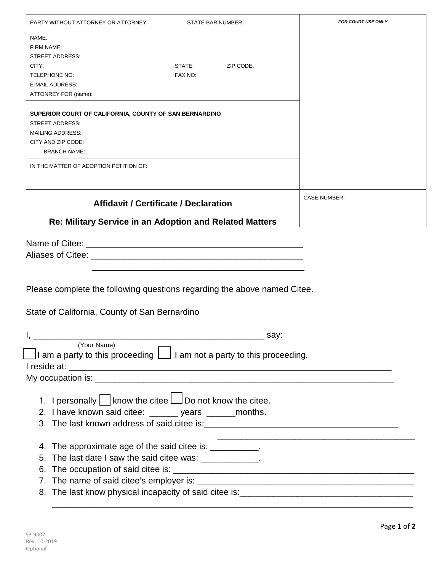| PARTY WITHOUT ATTORNEY OR ATTORNEY<br>STATE BAR NUMBER:                                           | <b>FOR COURT USE ONLY</b> |
|---------------------------------------------------------------------------------------------------|---------------------------|
| NAME:                                                                                             |                           |
| FIRM NAME:                                                                                        |                           |
| <b>STREET ADDRESS:</b>                                                                            |                           |
| ZIP CODE:<br>CITY:<br>STATE:                                                                      |                           |
| TELEPHONE NO:<br>FAX NO:                                                                          |                           |
| <b>E-MAIL ADDRESS:</b>                                                                            |                           |
| ATTONREY FOR (name):                                                                              |                           |
| SUPERIOR COURT OF CALIFORNIA, COUNTY OF SAN BERNARDINO                                            |                           |
| <b>STREET ADDRESS:</b>                                                                            |                           |
| <b>MAILING ADDRESS:</b>                                                                           |                           |
| CITY AND ZIP CODE:                                                                                |                           |
| <b>BRANCH NAME:</b>                                                                               |                           |
| IN THE MATTER OF ADOPTION PETITION OF:                                                            |                           |
|                                                                                                   |                           |
| <b>Affidavit / Certificate / Declaration</b>                                                      | <b>CASE NUMBER:</b>       |
|                                                                                                   |                           |
| Re: Military Service in an Adoption and Related Matters                                           |                           |
|                                                                                                   |                           |
|                                                                                                   |                           |
| Aliases of Citee: <u>Aliases of Citee:</u>                                                        |                           |
|                                                                                                   |                           |
|                                                                                                   |                           |
| Please complete the following questions regarding the above named Citee.                          |                           |
|                                                                                                   |                           |
| State of California, County of San Bernardino                                                     |                           |
|                                                                                                   |                           |
| $\frac{1}{\sqrt{2}}$ say:                                                                         |                           |
| (Your Name)<br>$\Box$ I am a party to this proceeding $\Box$ I am not a party to this proceeding. |                           |
|                                                                                                   |                           |
|                                                                                                   |                           |
|                                                                                                   |                           |
| 1. I personally know the citee $\Box$ Do not know the citee.                                      |                           |
|                                                                                                   |                           |
| 2. I have known said citee: ______ years ______ months.                                           |                           |
|                                                                                                   |                           |
| 4. The approximate age of the said citee is: __________.                                          |                           |
| 5. The last date I saw the said citee was: ____________.                                          |                           |
|                                                                                                   |                           |
|                                                                                                   |                           |
| 7.                                                                                                |                           |
|                                                                                                   |                           |
|                                                                                                   |                           |